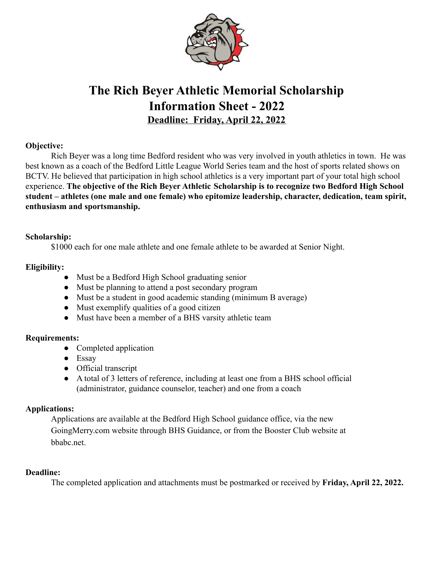

# **The Rich Beyer Athletic Memorial Scholarship Information Sheet - 2022 Deadline: Friday, April 22, 2022**

### **Objective:**

Rich Beyer was a long time Bedford resident who was very involved in youth athletics in town. He was best known as a coach of the Bedford Little League World Series team and the host of sports related shows on BCTV. He believed that participation in high school athletics is a very important part of your total high school experience. **The objective of the Rich Beyer Athletic Scholarship is to recognize two Bedford High School student – athletes (one male and one female) who epitomize leadership, character, dedication, team spirit, enthusiasm and sportsmanship.**

#### **Scholarship:**

\$1000 each for one male athlete and one female athlete to be awarded at Senior Night.

### **Eligibility:**

- Must be a Bedford High School graduating senior
- Must be planning to attend a post secondary program
- Must be a student in good academic standing (minimum B average)
- Must exemplify qualities of a good citizen
- Must have been a member of a BHS varsity athletic team

# **Requirements:**

- Completed application
- Essay
- Official transcript
- A total of 3 letters of reference, including at least one from a BHS school official (administrator, guidance counselor, teacher) and one from a coach

# **Applications:**

Applications are available at the Bedford High School guidance office, via the new GoingMerry.com website through BHS Guidance, or from the Booster Club website at bbabc.net.

#### **Deadline:**

The completed application and attachments must be postmarked or received by **Friday, April 22, 2022.**